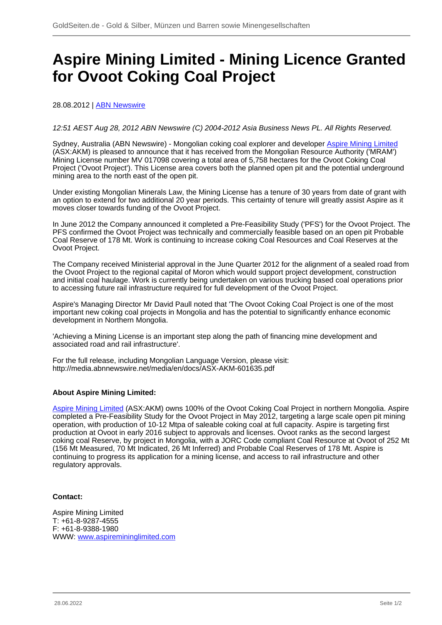## **Aspire Mining Limited - Mining Licence Granted for Ovoot Coking Coal Project**

28.08.2012 | **ABN Newswire** 

## 12:51 AEST Aug 28, 2012 ABN Newswire (C) 2004-2012 Asia Business News PL. All Rights Reserved.

Sydney, Australia (ABN Newswire) - Mongolian coking coal explorer and developer [Aspire Mining Limited](/minen/1673--Aspire-Mining-Ltd) (ASX:AKM) is pleased to announce that it has received from the Mongolian Resource Authority ('MRAM') Mining License number MV 017098 covering a total area of 5,758 hectares for the Ovoot Coking Coal Project ('Ovoot Project'). This License area covers both the planned open pit and the potential underground mining area to the north east of the open pit.

Under existing Mongolian Minerals Law, the Mining License has a tenure of 30 years from date of grant with an option to extend for two additional 20 year periods. This certainty of tenure will greatly assist Aspire as it moves closer towards funding of the Ovoot Project.

In June 2012 the Company announced it completed a Pre-Feasibility Study ('PFS') for the Ovoot Project. The PFS confirmed the Ovoot Project was technically and commercially feasible based on an open pit Probable Coal Reserve of 178 Mt. Work is continuing to increase coking Coal Resources and Coal Reserves at the Ovoot Project.

The Company received Ministerial approval in the June Quarter 2012 for the alignment of a sealed road from the Ovoot Project to the regional capital of Moron which would support project development, construction and initial coal haulage. Work is currently being undertaken on various trucking based coal operations prior to accessing future rail infrastructure required for full development of the Ovoot Project.

Aspire's Managing Director Mr David Paull noted that 'The Ovoot Coking Coal Project is one of the most important new coking coal projects in Mongolia and has the potential to significantly enhance economic development in Northern Mongolia.

'Achieving a Mining License is an important step along the path of financing mine development and associated road and rail infrastructure'.

For the full release, including Mongolian Language Version, please visit: http://media.abnnewswire.net/media/en/docs/ASX-AKM-601635.pdf

## **About Aspire Mining Limited:**

[Aspire Mining Limited](/minen/1673--Aspire-Mining-Ltd) (ASX:AKM) owns 100% of the Ovoot Coking Coal Project in northern Mongolia. Aspire completed a Pre-Feasibility Study for the Ovoot Project in May 2012, targeting a large scale open pit mining operation, with production of 10-12 Mtpa of saleable coking coal at full capacity. Aspire is targeting first production at Ovoot in early 2016 subject to approvals and licenses. Ovoot ranks as the second largest coking coal Reserve, by project in Mongolia, with a JORC Code compliant Coal Resource at Ovoot of 252 Mt (156 Mt Measured, 70 Mt Indicated, 26 Mt Inferred) and Probable Coal Reserves of 178 Mt. Aspire is continuing to progress its application for a mining license, and access to rail infrastructure and other regulatory approvals.

## **Contact:**

Aspire Mining Limited T: +61-8-9287-4555 F: +61-8-9388-1980 WWW: [www.aspiremininglimited.com](https://www.goldseiten.de/exit.php?url=http%3A%2F%2Fwww.aspiremininglimited.com)